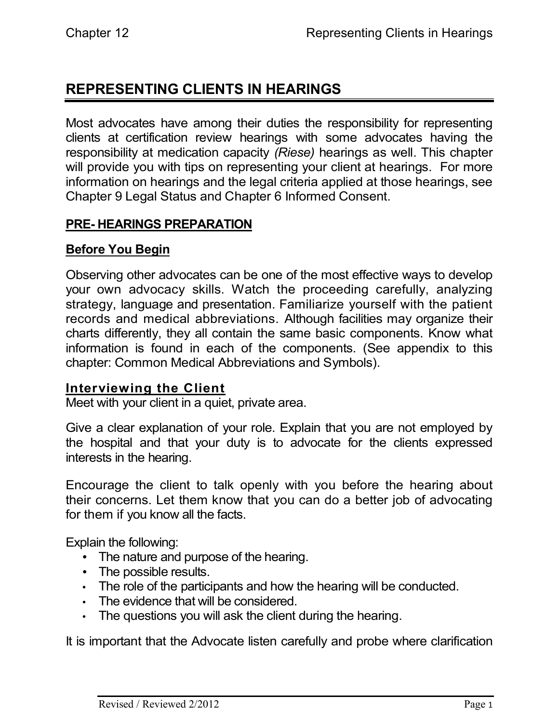# **REPRESENTING CLIENTS IN HEARINGS**

Most advocates have among their duties the responsibility for representing clients at certification review hearings with some advocates having the responsibility at medication capacity *(Riese)* hearings as well. This chapter will provide you with tips on representing your client at hearings. For more information on hearings and the legal criteria applied at those hearings, see Chapter 9 Legal Status and Chapter 6 Informed Consent.

### **PRE- HEARINGS PREPARATION**

### **Before You Begin**

Observing other advocates can be one of the most effective ways to develop your own advocacy skills. Watch the proceeding carefully, analyzing strategy, language and presentation. Familiarize yourself with the patient records and medical abbreviations. Although facilities may organize their charts differently, they all contain the same basic components. Know what information is found in each of the components. (See appendix to this chapter: Common Medical Abbreviations and Symbols).

#### **Interviewing the Client**

Meet with your client in a quiet, private area.

Give a clear explanation of your role. Explain that you are not employed by the hospital and that your duty is to advocate for the clients expressed interests in the hearing.

Encourage the client to talk openly with you before the hearing about their concerns. Let them know that you can do a better job of advocating for them if you know all the facts.

Explain the following:

- The nature and purpose of the hearing.
- The possible results.
- The role of the participants and how the hearing will be conducted.
- The evidence that will be considered.
- The questions you will ask the client during the hearing.

It is important that the Advocate listen carefully and probe where clarification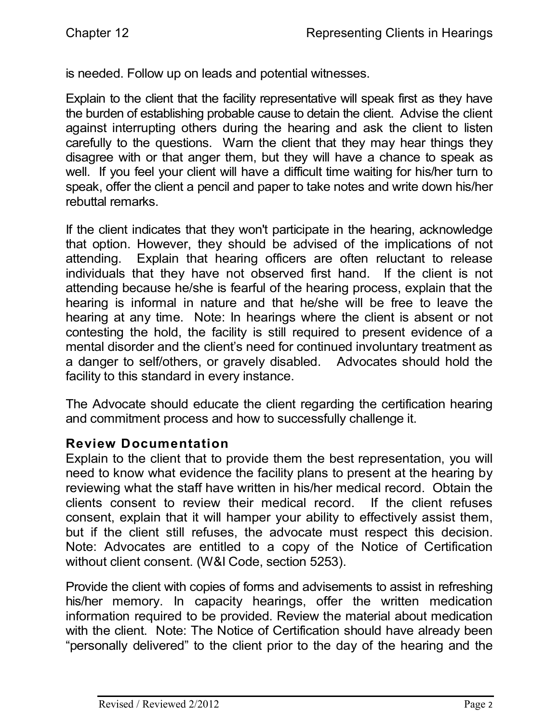is needed. Follow up on leads and potential witnesses.

Explain to the client that the facility representative will speak first as they have the burden of establishing probable cause to detain the client. Advise the client against interrupting others during the hearing and ask the client to listen carefully to the questions. Warn the client that they may hear things they disagree with or that anger them, but they will have a chance to speak as well. If you feel your client will have a difficult time waiting for his/her turn to speak, offer the client a pencil and paper to take notes and write down his/her rebuttal remarks.

If the client indicates that they won't participate in the hearing, acknowledge that option. However, they should be advised of the implications of not attending. Explain that hearing officers are often reluctant to release individuals that they have not observed first hand. If the client is not attending because he/she is fearful of the hearing process, explain that the hearing is informal in nature and that he/she will be free to leave the hearing at any time. Note: In hearings where the client is absent or not contesting the hold, the facility is still required to present evidence of a mental disorder and the client's need for continued involuntary treatment as a danger to self/others, or gravely disabled. Advocates should hold the facility to this standard in every instance.

The Advocate should educate the client regarding the certification hearing and commitment process and how to successfully challenge it.

#### **Review Documentation**

Explain to the client that to provide them the best representation, you will need to know what evidence the facility plans to present at the hearing by reviewing what the staff have written in his/her medical record. Obtain the clients consent to review their medical record. If the client refuses consent, explain that it will hamper your ability to effectively assist them, but if the client still refuses, the advocate must respect this decision. Note: Advocates are entitled to a copy of the Notice of Certification without client consent. (W&I Code, section 5253).

Provide the client with copies of forms and advisements to assist in refreshing his/her memory. In capacity hearings, offer the written medication information required to be provided. Review the material about medication with the client. Note: The Notice of Certification should have already been "personally delivered" to the client prior to the day of the hearing and the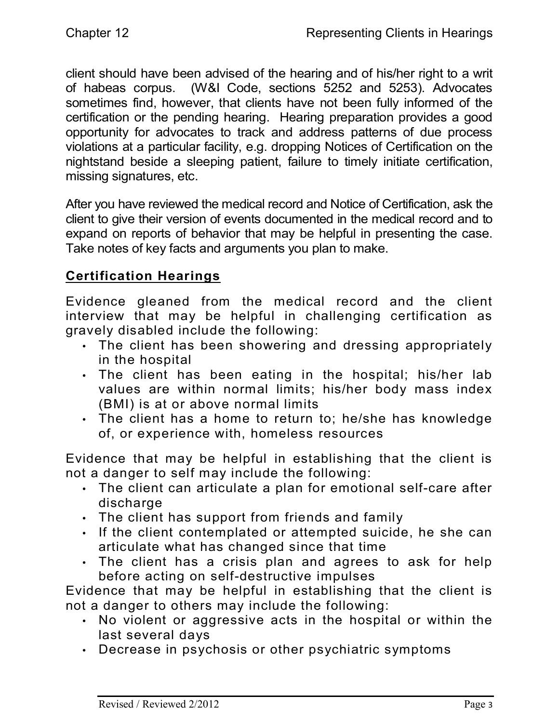client should have been advised of the hearing and of his/her right to a writ of habeas corpus. (W&I Code, sections 5252 and 5253). Advocates sometimes find, however, that clients have not been fully informed of the certification or the pending hearing. Hearing preparation provides a good opportunity for advocates to track and address patterns of due process violations at a particular facility, e.g. dropping Notices of Certification on the nightstand beside a sleeping patient, failure to timely initiate certification, missing signatures, etc.

After you have reviewed the medical record and Notice of Certification, ask the client to give their version of events documented in the medical record and to expand on reports of behavior that may be helpful in presenting the case. Take notes of key facts and arguments you plan to make.

## **Certification Hearings**

Evidence gleaned from the medical record and the client interview that may be helpful in challenging certification as gravely disabled include the following:

- The client has been showering and dressing appropriately in the hospital
- The client has been eating in the hospital; his/her lab values are within normal limits; his/her body mass index (BMI) is at or above normal limits
- The client has a home to return to; he/she has knowledge of, or experience with, homeless resources

Evidence that may be helpful in establishing that the client is not a danger to self may include the following:

- The client can articulate a plan for emotional self-care after discharge
- The client has support from friends and family
- If the client contemplated or attempted suicide, he she can articulate what has changed since that time
- The client has a crisis plan and agrees to ask for help before acting on self-destructive impulses

Evidence that may be helpful in establishing that the client is not a danger to others may include the following:

- No violent or aggressive acts in the hospital or within the last several days
- Decrease in psychosis or other psychiatric symptoms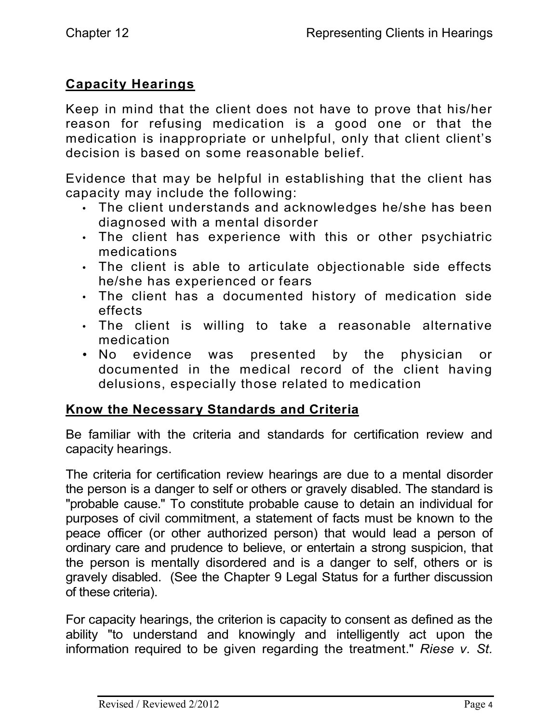## **Capacity Hearings**

Keep in mind that the client does not have to prove that his/her reason for refusing medication is a good one or that the medication is inappropriate or unhelpful, only that client client's decision is based on some reasonable belief.

Evidence that may be helpful in establishing that the client has capacity may include the following:

- The client understands and acknowledges he/she has been diagnosed with a mental disorder
- The client has experience with this or other psychiatric medications
- The client is able to articulate objectionable side effects he/she has experienced or fears
- The client has a documented history of medication side effects
- The client is willing to take a reasonable alternative medication
- No evidence was presented by the physician or documented in the medical record of the client having delusions, especially those related to medication

## **Know the Necessary Standards and Criteria**

Be familiar with the criteria and standards for certification review and capacity hearings.

The criteria for certification review hearings are due to a mental disorder the person is a danger to self or others or gravely disabled. The standard is "probable cause." To constitute probable cause to detain an individual for purposes of civil commitment, a statement of facts must be known to the peace officer (or other authorized person) that would lead a person of ordinary care and prudence to believe, or entertain a strong suspicion, that the person is mentally disordered and is a danger to self, others or is gravely disabled. (See the Chapter 9 Legal Status for a further discussion of these criteria).

For capacity hearings, the criterion is capacity to consent as defined as the ability "to understand and knowingly and intelligently act upon the information required to be given regarding the treatment." *Riese v. St.*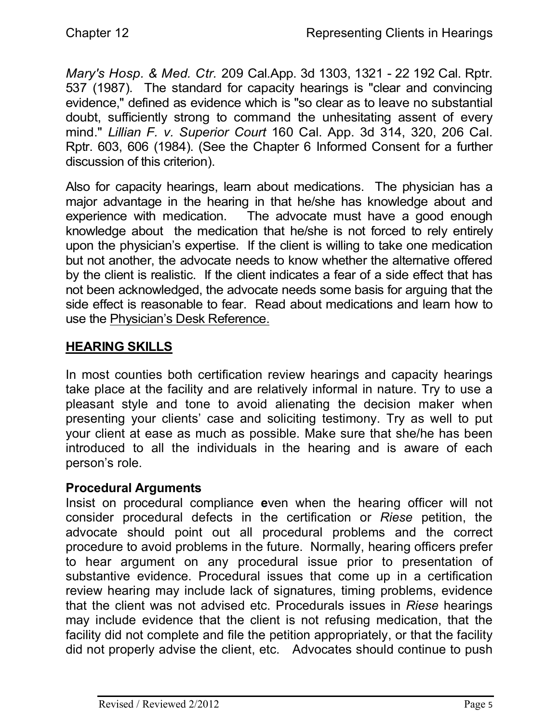*Mary's Hosp. & Med. Ctr.* 209 Cal.App. 3d 1303, 1321 - 22 192 Cal. Rptr. 537 (1987). The standard for capacity hearings is "clear and convincing evidence," defined as evidence which is "so clear as to leave no substantial doubt, sufficiently strong to command the unhesitating assent of every mind." *Lillian F. v. Superior Court* 160 Cal. App. 3d 314, 320, 206 Cal. Rptr. 603, 606 (1984). (See the Chapter 6 Informed Consent for a further discussion of this criterion).

Also for capacity hearings, learn about medications. The physician has a major advantage in the hearing in that he/she has knowledge about and experience with medication. The advocate must have a good enough knowledge about the medication that he/she is not forced to rely entirely upon the physician's expertise. If the client is willing to take one medication but not another, the advocate needs to know whether the alternative offered by the client is realistic. If the client indicates a fear of a side effect that has not been acknowledged, the advocate needs some basis for arguing that the side effect is reasonable to fear. Read about medications and learn how to use the Physician's Desk Reference.

## **HEARING SKILLS**

In most counties both certification review hearings and capacity hearings take place at the facility and are relatively informal in nature. Try to use a pleasant style and tone to avoid alienating the decision maker when presenting your clients' case and soliciting testimony. Try as well to put your client at ease as much as possible. Make sure that she/he has been introduced to all the individuals in the hearing and is aware of each person's role.

## **Procedural Arguments**

Insist on procedural compliance **e**ven when the hearing officer will not consider procedural defects in the certification or *Riese* petition, the advocate should point out all procedural problems and the correct procedure to avoid problems in the future. Normally, hearing officers prefer to hear argument on any procedural issue prior to presentation of substantive evidence. Procedural issues that come up in a certification review hearing may include lack of signatures, timing problems, evidence that the client was not advised etc. Procedurals issues in *Riese* hearings may include evidence that the client is not refusing medication, that the facility did not complete and file the petition appropriately, or that the facility did not properly advise the client, etc. Advocates should continue to push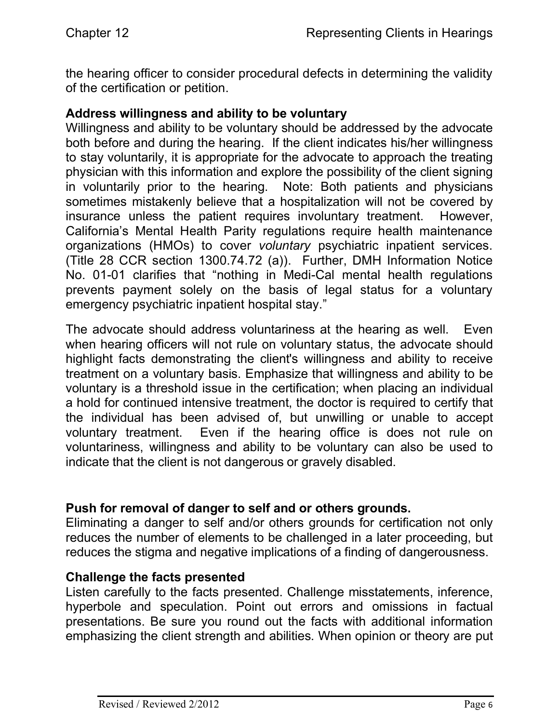the hearing officer to consider procedural defects in determining the validity of the certification or petition.

#### **Address willingness and ability to be voluntary**

Willingness and ability to be voluntary should be addressed by the advocate both before and during the hearing. If the client indicates his/her willingness to stay voluntarily, it is appropriate for the advocate to approach the treating physician with this information and explore the possibility of the client signing in voluntarily prior to the hearing. Note: Both patients and physicians sometimes mistakenly believe that a hospitalization will not be covered by insurance unless the patient requires involuntary treatment. However, California's Mental Health Parity regulations require health maintenance organizations (HMOs) to cover *voluntary* psychiatric inpatient services. (Title 28 CCR section 1300.74.72 (a)). Further, DMH Information Notice No. 01-01 clarifies that "nothing in Medi-Cal mental health regulations prevents payment solely on the basis of legal status for a voluntary emergency psychiatric inpatient hospital stay."

The advocate should address voluntariness at the hearing as well. Even when hearing officers will not rule on voluntary status, the advocate should highlight facts demonstrating the client's willingness and ability to receive treatment on a voluntary basis. Emphasize that willingness and ability to be voluntary is a threshold issue in the certification; when placing an individual a hold for continued intensive treatment, the doctor is required to certify that the individual has been advised of, but unwilling or unable to accept voluntary treatment. Even if the hearing office is does not rule on voluntariness, willingness and ability to be voluntary can also be used to indicate that the client is not dangerous or gravely disabled.

#### **Push for removal of danger to self and or others grounds.**

Eliminating a danger to self and/or others grounds for certification not only reduces the number of elements to be challenged in a later proceeding, but reduces the stigma and negative implications of a finding of dangerousness.

#### **Challenge the facts presented**

Listen carefully to the facts presented. Challenge misstatements, inference, hyperbole and speculation. Point out errors and omissions in factual presentations. Be sure you round out the facts with additional information emphasizing the client strength and abilities. When opinion or theory are put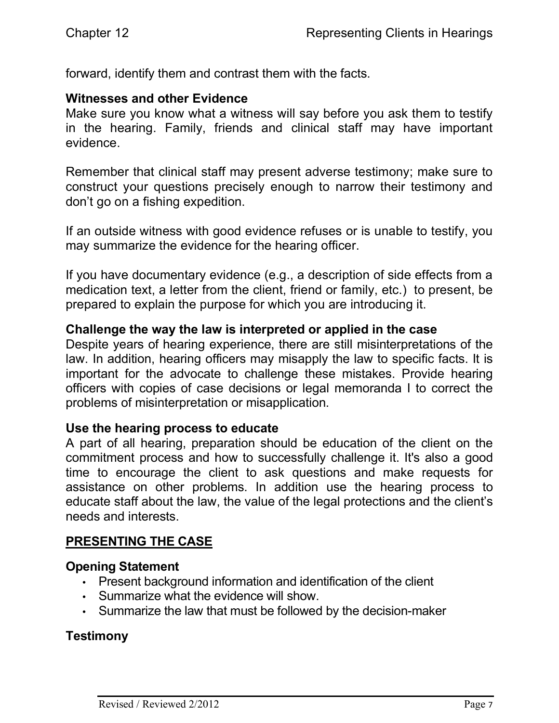forward, identify them and contrast them with the facts.

#### **Witnesses and other Evidence**

Make sure you know what a witness will say before you ask them to testify in the hearing. Family, friends and clinical staff may have important evidence.

Remember that clinical staff may present adverse testimony; make sure to construct your questions precisely enough to narrow their testimony and don't go on a fishing expedition.

If an outside witness with good evidence refuses or is unable to testify, you may summarize the evidence for the hearing officer.

If you have documentary evidence (e.g., a description of side effects from a medication text, a letter from the client, friend or family, etc.) to present, be prepared to explain the purpose for which you are introducing it.

#### **Challenge the way the law is interpreted or applied in the case**

Despite years of hearing experience, there are still misinterpretations of the law. In addition, hearing officers may misapply the law to specific facts. It is important for the advocate to challenge these mistakes. Provide hearing officers with copies of case decisions or legal memoranda I to correct the problems of misinterpretation or misapplication.

#### **Use the hearing process to educate**

A part of all hearing, preparation should be education of the client on the commitment process and how to successfully challenge it. It's also a good time to encourage the client to ask questions and make requests for assistance on other problems. In addition use the hearing process to educate staff about the law, the value of the legal protections and the client's needs and interests.

#### **PRESENTING THE CASE**

#### **Opening Statement**

- Present background information and identification of the client
- Summarize what the evidence will show.
- Summarize the law that must be followed by the decision-maker

#### **Testimony**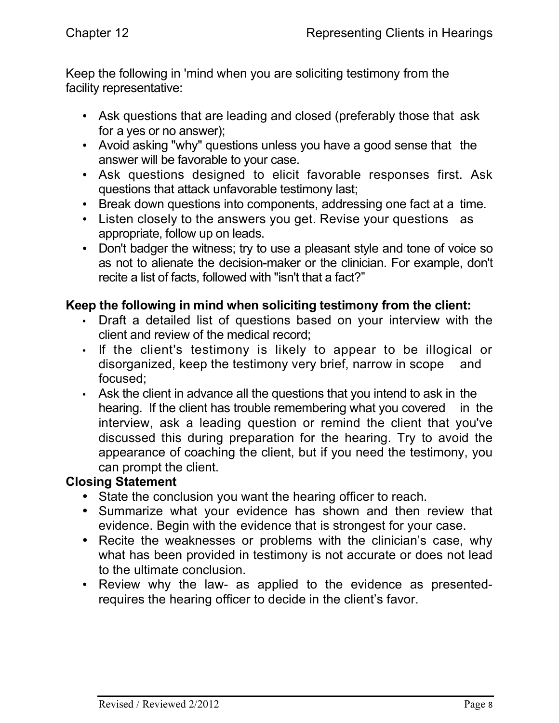Keep the following in 'mind when you are soliciting testimony from the facility representative:

- Ask questions that are leading and closed (preferably those that ask for a yes or no answer);
- Avoid asking "why" questions unless you have a good sense that the answer will be favorable to your case.
- Ask questions designed to elicit favorable responses first. Ask questions that attack unfavorable testimony last;
- Break down questions into components, addressing one fact at a time.
- Listen closely to the answers you get. Revise your questions as appropriate, follow up on leads.
- Don't badger the witness; try to use a pleasant style and tone of voice so as not to alienate the decision-maker or the clinician. For example, don't recite a list of facts, followed with "isn't that a fact?"

## **Keep the following in mind when soliciting testimony from the client:**

- Draft a detailed list of questions based on your interview with the client and review of the medical record;
- If the client's testimony is likely to appear to be illogical or disorganized, keep the testimony very brief, narrow in scope and focused;
- Ask the client in advance all the questions that you intend to ask in the hearing. If the client has trouble remembering what you covered in the interview, ask a leading question or remind the client that you've discussed this during preparation for the hearing. Try to avoid the appearance of coaching the client, but if you need the testimony, you can prompt the client.

#### **Closing Statement**

- State the conclusion you want the hearing officer to reach.
- Summarize what your evidence has shown and then review that evidence. Begin with the evidence that is strongest for your case.
- Recite the weaknesses or problems with the clinician's case, why what has been provided in testimony is not accurate or does not lead to the ultimate conclusion.
- Review why the law- as applied to the evidence as presentedrequires the hearing officer to decide in the client's favor.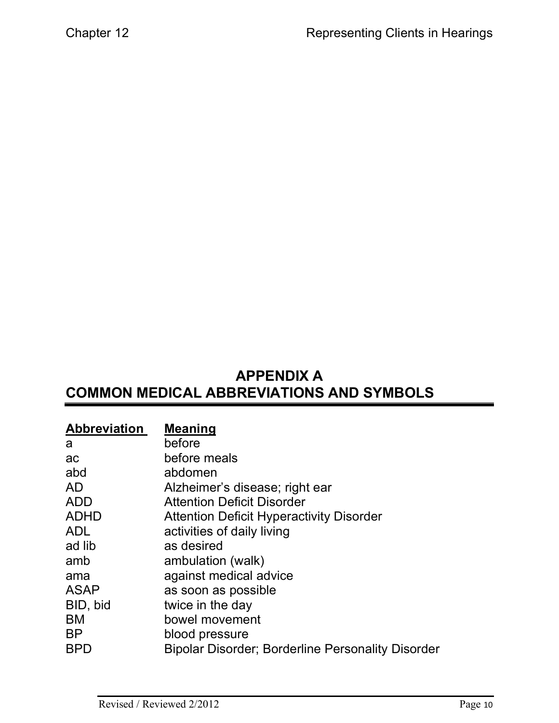# **APPENDIX A COMMON MEDICAL ABBREVIATIONS AND SYMBOLS**

| <b>Abbreviation</b> | <b>Meaning</b>                                    |
|---------------------|---------------------------------------------------|
| a                   | before                                            |
| ac                  | before meals                                      |
| abd                 | abdomen                                           |
| <b>AD</b>           | Alzheimer's disease; right ear                    |
| <b>ADD</b>          | <b>Attention Deficit Disorder</b>                 |
| <b>ADHD</b>         | <b>Attention Deficit Hyperactivity Disorder</b>   |
| <b>ADL</b>          | activities of daily living                        |
| ad lib              | as desired                                        |
| amb                 | ambulation (walk)                                 |
| ama                 | against medical advice                            |
| <b>ASAP</b>         | as soon as possible                               |
| BID, bid            | twice in the day                                  |
| BM                  | bowel movement                                    |
| <b>BP</b>           | blood pressure                                    |
| <b>BPD</b>          | Bipolar Disorder; Borderline Personality Disorder |
|                     |                                                   |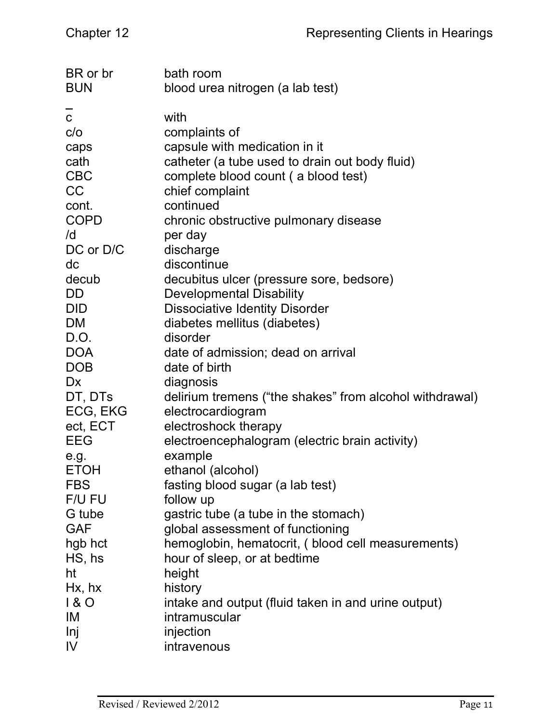| BR or br<br><b>BUN</b>    | bath room<br>blood urea nitrogen (a lab test)           |
|---------------------------|---------------------------------------------------------|
|                           |                                                         |
| $\overline{c}$            | with                                                    |
| C/O                       | complaints of                                           |
| caps                      | capsule with medication in it                           |
| cath                      | catheter (a tube used to drain out body fluid)          |
| <b>CBC</b>                | complete blood count (a blood test)                     |
| <b>CC</b>                 | chief complaint                                         |
| cont.                     | continued                                               |
| <b>COPD</b>               | chronic obstructive pulmonary disease                   |
| /d                        | per day                                                 |
| DC or D/C                 | discharge                                               |
| dc                        | discontinue                                             |
| decub                     | decubitus ulcer (pressure sore, bedsore)                |
| DD                        | <b>Developmental Disability</b>                         |
| <b>DID</b>                | <b>Dissociative Identity Disorder</b>                   |
| <b>DM</b>                 | diabetes mellitus (diabetes)                            |
| D.O.                      | disorder                                                |
| <b>DOA</b>                | date of admission; dead on arrival                      |
| <b>DOB</b>                | date of birth                                           |
| <b>Dx</b>                 | diagnosis                                               |
| DT, DTs                   | delirium tremens ("the shakes" from alcohol withdrawal) |
| ECG, EKG                  | electrocardiogram                                       |
| ect, ECT                  | electroshock therapy                                    |
| <b>EEG</b>                | electroencephalogram (electric brain activity)          |
| e.g.                      | example                                                 |
| <b>ETOH</b><br><b>FBS</b> | ethanol (alcohol)                                       |
| F/U FU                    | fasting blood sugar (a lab test)<br>follow up           |
| G tube                    | gastric tube (a tube in the stomach)                    |
| <b>GAF</b>                | global assessment of functioning                        |
| hgb hct                   | hemoglobin, hematocrit, (blood cell measurements)       |
| $HS,$ hs                  | hour of sleep, or at bedtime                            |
| ht                        | height                                                  |
| $Hx$ , hx                 | history                                                 |
| 180                       | intake and output (fluid taken in and urine output)     |
| IM                        | intramuscular                                           |
| Inj                       | injection                                               |
| IV                        | intravenous                                             |
|                           |                                                         |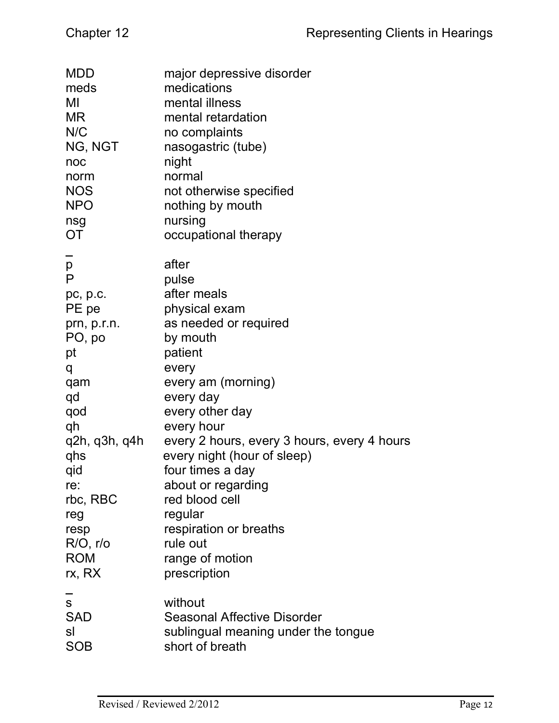| <b>MDD</b>    | major depressive disorder                   |
|---------------|---------------------------------------------|
| meds          | medications                                 |
| MI            | mental illness                              |
| <b>MR</b>     | mental retardation                          |
| N/C           | no complaints                               |
| NG, NGT       | nasogastric (tube)                          |
| noc           | night                                       |
| norm          | normal                                      |
| <b>NOS</b>    | not otherwise specified                     |
| <b>NPO</b>    | nothing by mouth                            |
| nsg           | nursing                                     |
| <b>OT</b>     | occupational therapy                        |
| p             | after                                       |
| P             | pulse                                       |
| pc, p.c.      | after meals                                 |
| PE pe         | physical exam                               |
| prn, p.r.n.   | as needed or required                       |
| PO, po        | by mouth                                    |
| pt            | patient                                     |
| q             | every                                       |
| qam           | every am (morning)                          |
| qd            | every day                                   |
| qod           | every other day                             |
| qh            | every hour                                  |
| q2h, q3h, q4h | every 2 hours, every 3 hours, every 4 hours |
| qhs           | every night (hour of sleep)                 |
| qid           | four times a day                            |
| re:           | about or regarding                          |
| rbc, RBC      | red blood cell                              |
| reg           | regular                                     |
| resp          | respiration or breaths                      |
| $R/O$ , r/o   | rule out                                    |
| <b>ROM</b>    | range of motion                             |
| rx, RX        | prescription                                |
| S             | without                                     |
| <b>SAD</b>    | <b>Seasonal Affective Disorder</b>          |
| sl            | sublingual meaning under the tongue         |
| SOB           | short of breath                             |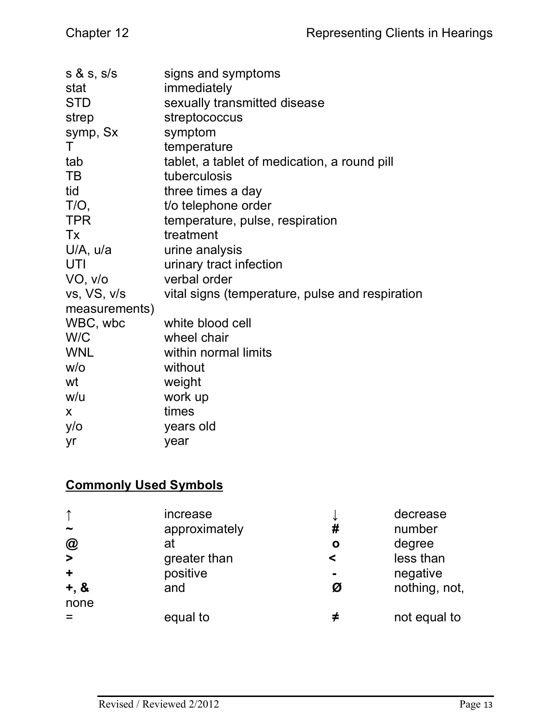| signs and symptoms                              |
|-------------------------------------------------|
| immediately                                     |
| sexually transmitted disease                    |
| streptococcus                                   |
| symptom                                         |
| temperature                                     |
| tablet, a tablet of medication, a round pill    |
| tuberculosis                                    |
| three times a day                               |
| t/o telephone order                             |
| temperature, pulse, respiration                 |
| treatment                                       |
| urine analysis                                  |
| urinary tract infection                         |
| verbal order                                    |
| vital signs (temperature, pulse and respiration |
|                                                 |
| white blood cell                                |
| wheel chair                                     |
| within normal limits                            |
| without                                         |
| weight                                          |
| work up                                         |
| times                                           |
| years old                                       |
| year                                            |
|                                                 |

## **Commonly Used Symbols**

|                                 | increase<br>approximately | ╰<br># | decrease<br>number |
|---------------------------------|---------------------------|--------|--------------------|
| $\bm{\mathsf{\textcircled{a}}}$ | at                        | Ο      | degree             |
| $\geq$                          | greater than              | <      | less than          |
| $\ddot{\phantom{1}}$            | positive                  |        | negative           |
| $+, 8$<br>none                  | and                       | Ø      | nothing, not,      |
|                                 | equal to                  |        | not equal to       |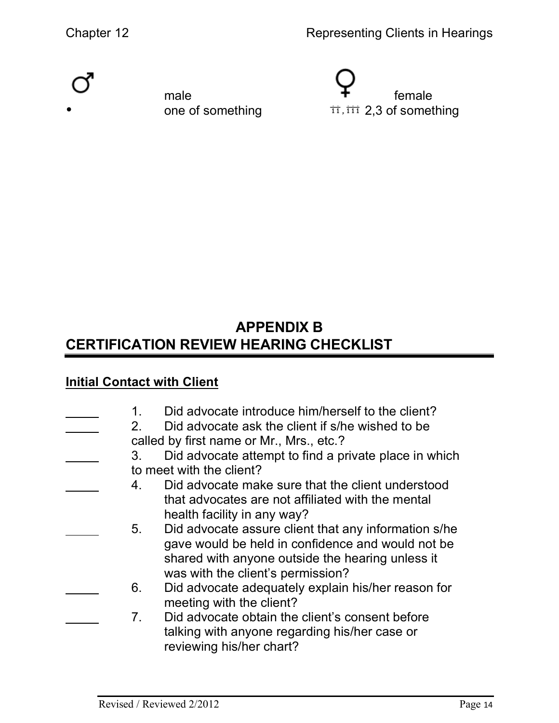Chapter 12 **Chapter 12** Representing Clients in Hearings





# **APPENDIX B CERTIFICATION REVIEW HEARING CHECKLIST**

## **Initial Contact with Client**

| 1.<br>2 <sub>1</sub> | Did advocate introduce him/herself to the client?<br>Did advocate ask the client if s/he wished to be<br>called by first name or Mr., Mrs., etc.? |
|----------------------|---------------------------------------------------------------------------------------------------------------------------------------------------|
| 3.                   | Did advocate attempt to find a private place in which                                                                                             |
|                      | to meet with the client?                                                                                                                          |
| 4.                   | Did advocate make sure that the client understood                                                                                                 |
|                      | that advocates are not affiliated with the mental                                                                                                 |
|                      | health facility in any way?                                                                                                                       |
| 5 <sub>1</sub>       | Did advocate assure client that any information s/he                                                                                              |
|                      | gave would be held in confidence and would not be<br>shared with anyone outside the hearing unless it<br>was with the client's permission?        |
| 6.                   | Did advocate adequately explain his/her reason for<br>meeting with the client?                                                                    |
| 7 <sub>1</sub>       | Did advocate obtain the client's consent before<br>talking with anyone regarding his/her case or<br>reviewing his/her chart?                      |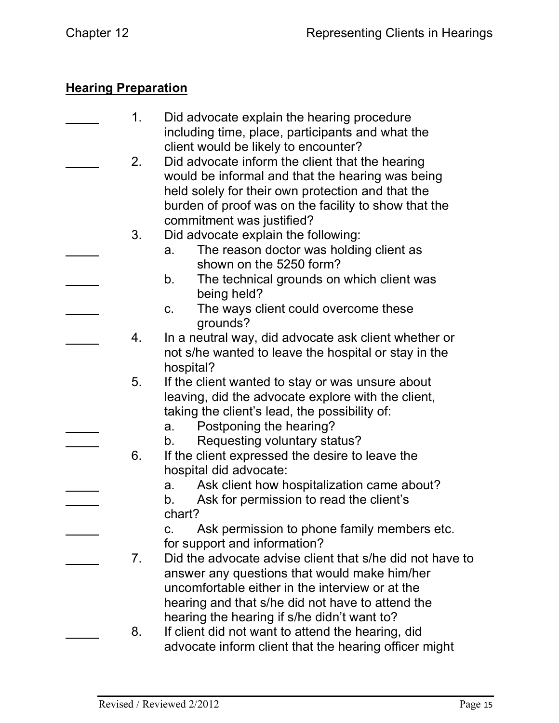## **Hearing Preparation**

| 1. | Did advocate explain the hearing procedure<br>including time, place, participants and what the                                                                                                                                 |
|----|--------------------------------------------------------------------------------------------------------------------------------------------------------------------------------------------------------------------------------|
| 2. | client would be likely to encounter?<br>Did advocate inform the client that the hearing<br>would be informal and that the hearing was being                                                                                    |
| 3. | held solely for their own protection and that the<br>burden of proof was on the facility to show that the<br>commitment was justified?<br>Did advocate explain the following:<br>The reason doctor was holding client as<br>a. |
|    | shown on the 5250 form?<br>The technical grounds on which client was<br>b.<br>being held?                                                                                                                                      |
|    | The ways client could overcome these<br>C.<br>grounds?                                                                                                                                                                         |
| 4. | In a neutral way, did advocate ask client whether or<br>not s/he wanted to leave the hospital or stay in the                                                                                                                   |
| 5. | hospital?<br>If the client wanted to stay or was unsure about<br>leaving, did the advocate explore with the client,                                                                                                            |
|    | taking the client's lead, the possibility of:<br>Postponing the hearing?<br>a.<br>Requesting voluntary status?<br>b.                                                                                                           |
| 6. | If the client expressed the desire to leave the<br>hospital did advocate:                                                                                                                                                      |
|    | Ask client how hospitalization came about?<br>а.<br>Ask for permission to read the client's<br>b.<br>chart?                                                                                                                    |
|    | Ask permission to phone family members etc.<br>C.<br>for support and information?                                                                                                                                              |
| 7. | Did the advocate advise client that s/he did not have to<br>answer any questions that would make him/her<br>uncomfortable either in the interview or at the                                                                    |
|    | hearing and that s/he did not have to attend the<br>hearing the hearing if s/he didn't want to?                                                                                                                                |
| 8. | If client did not want to attend the hearing, did<br>advocate inform client that the hearing officer might                                                                                                                     |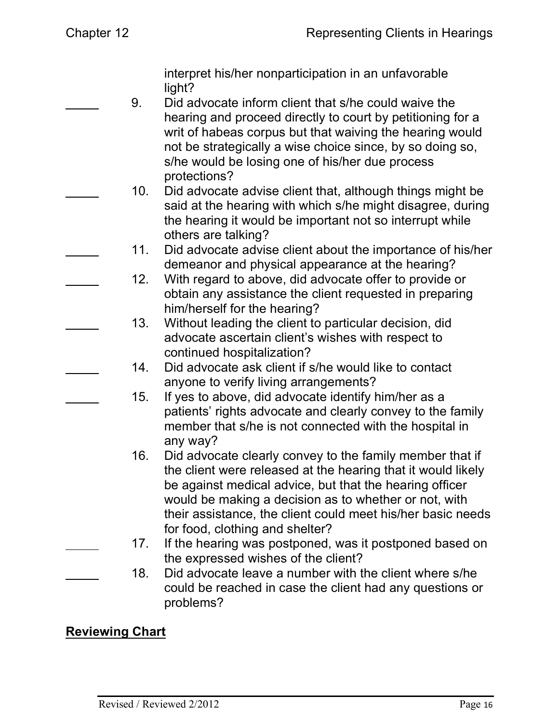interpret his/her nonparticipation in an unfavorable light?

- 9. Did advocate inform client that s/he could waive the hearing and proceed directly to court by petitioning for a writ of habeas corpus but that waiving the hearing would not be strategically a wise choice since, by so doing so, s/he would be losing one of his/her due process protections?
	- 10. Did advocate advise client that, although things might be said at the hearing with which s/he might disagree, during the hearing it would be important not so interrupt while others are talking?
	- 11. Did advocate advise client about the importance of his/her demeanor and physical appearance at the hearing?
	- 12. With regard to above, did advocate offer to provide or obtain any assistance the client requested in preparing him/herself for the hearing?
	- 13. Without leading the client to particular decision, did advocate ascertain client's wishes with respect to continued hospitalization?
	- 14. Did advocate ask client if s/he would like to contact anyone to verify living arrangements?
	- 15. If yes to above, did advocate identify him/her as a patients' rights advocate and clearly convey to the family member that s/he is not connected with the hospital in any way?
	- 16. Did advocate clearly convey to the family member that if the client were released at the hearing that it would likely be against medical advice, but that the hearing officer would be making a decision as to whether or not, with their assistance, the client could meet his/her basic needs for food, clothing and shelter?
	- 17. If the hearing was postponed, was it postponed based on the expressed wishes of the client?
- 18. Did advocate leave a number with the client where s/he could be reached in case the client had any questions or problems?

## **Reviewing Chart**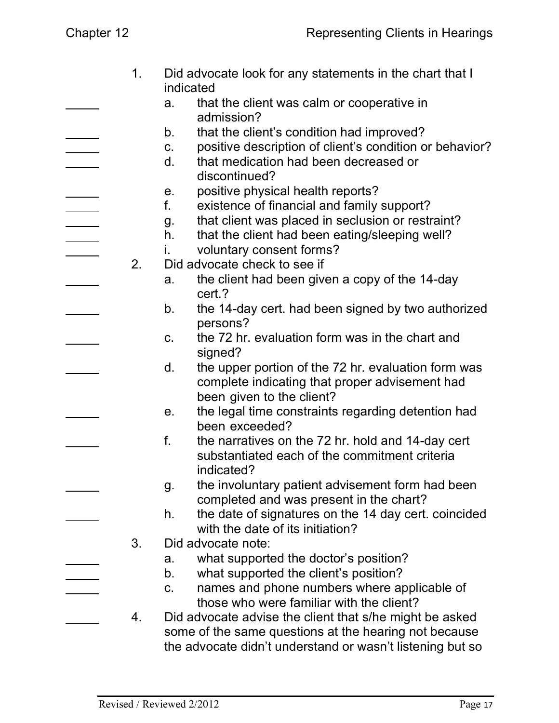1. Did advocate look for any statements in the chart that I indicated a. that the client was calm or cooperative in admission? b. that the client's condition had improved? c. positive description of client's condition or behavior? d. that medication had been decreased or discontinued? e. positive physical health reports? f. existence of financial and family support? g. that client was placed in seclusion or restraint? h. that the client had been eating/sleeping well? i. voluntary consent forms? 2. Did advocate check to see if a. the client had been given a copy of the 14-day cert.? b. the 14-day cert. had been signed by two authorized persons? c. the 72 hr. evaluation form was in the chart and signed? d. the upper portion of the 72 hr. evaluation form was complete indicating that proper advisement had been given to the client? e. the legal time constraints regarding detention had been exceeded? f. the narratives on the 72 hr. hold and 14-day cert substantiated each of the commitment criteria indicated? g. the involuntary patient advisement form had been completed and was present in the chart? h. the date of signatures on the 14 day cert. coincided with the date of its initiation? 3. Did advocate note: a. what supported the doctor's position? b. what supported the client's position? c. names and phone numbers where applicable of those who were familiar with the client? 4. Did advocate advise the client that s/he might be asked some of the same questions at the hearing not because the advocate didn't understand or wasn't listening but so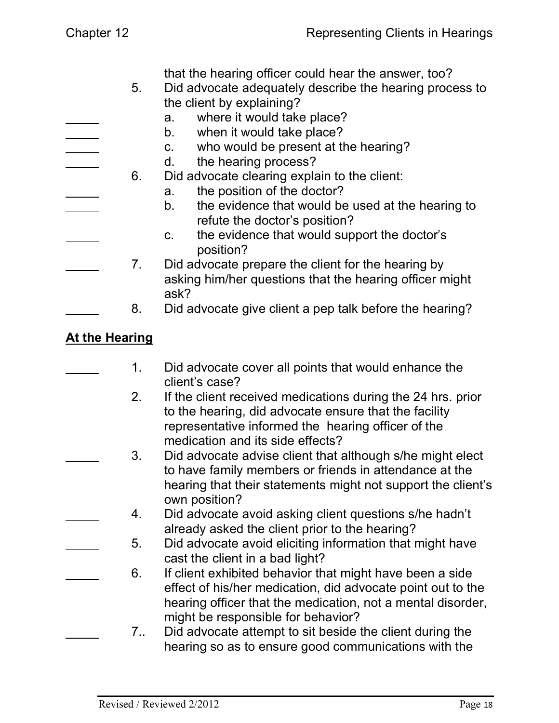| Chapter 12           | Representing Clients in Hearings                                                                                                                                                                                                                                                                                                                                                                                                                |
|----------------------|-------------------------------------------------------------------------------------------------------------------------------------------------------------------------------------------------------------------------------------------------------------------------------------------------------------------------------------------------------------------------------------------------------------------------------------------------|
| 5 <sub>1</sub><br>6. | that the hearing officer could hear the answer, too?<br>Did advocate adequately describe the hearing process to<br>the client by explaining?<br>where it would take place?<br>a.<br>when it would take place?<br>b.<br>who would be present at the hearing?<br>C.<br>the hearing process?<br>d.<br>Did advocate clearing explain to the client:<br>the position of the doctor?<br>a.<br>the evidence that would be used at the hearing to<br>b. |
| 7.<br>8.             | refute the doctor's position?<br>the evidence that would support the doctor's<br>$C_{1}$<br>position?<br>Did advocate prepare the client for the hearing by<br>asking him/her questions that the hearing officer might<br>ask?<br>Did advocate give client a pep talk before the hearing?                                                                                                                                                       |
| - 11.                |                                                                                                                                                                                                                                                                                                                                                                                                                                                 |

## **At the Hearing**

- 1. Did advocate cover all points that would enhance the client's case?
	- 2. If the client received medications during the 24 hrs. prior to the hearing, did advocate ensure that the facility representative informed the hearing officer of the medication and its side effects?
- 3. Did advocate advise client that although s/he might elect to have family members or friends in attendance at the hearing that their statements might not support the client's own position?
- 4. Did advocate avoid asking client questions s/he hadn't already asked the client prior to the hearing?
- 5. Did advocate avoid eliciting information that might have cast the client in a bad light?
	- 6. If client exhibited behavior that might have been a side effect of his/her medication, did advocate point out to the hearing officer that the medication, not a mental disorder, might be responsible for behavior?
		- 7.. Did advocate attempt to sit beside the client during the hearing so as to ensure good communications with the